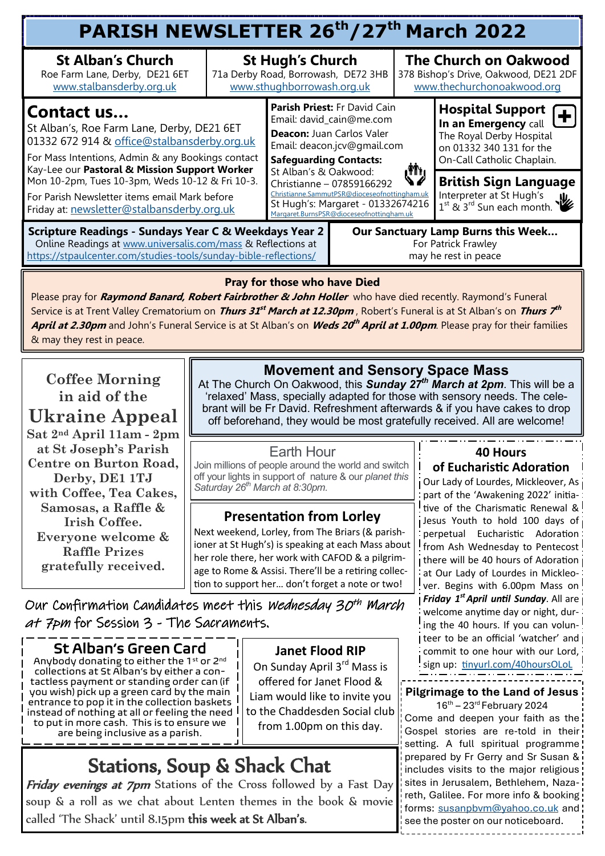| PARISH NEWSLETTER 26 <sup>th</sup> /27 <sup>th</sup> March 2022                                                                                                                                                                                                                                                                                                 |                                                                                              |                                                                                                                                                                                                                                                                                                                                              |  |                                                                                                     |                                                                                                                                       |  |  |  |  |
|-----------------------------------------------------------------------------------------------------------------------------------------------------------------------------------------------------------------------------------------------------------------------------------------------------------------------------------------------------------------|----------------------------------------------------------------------------------------------|----------------------------------------------------------------------------------------------------------------------------------------------------------------------------------------------------------------------------------------------------------------------------------------------------------------------------------------------|--|-----------------------------------------------------------------------------------------------------|---------------------------------------------------------------------------------------------------------------------------------------|--|--|--|--|
| <b>St Alban's Church</b><br>Roe Farm Lane, Derby, DE21 6ET<br>www.stalbansderby.org.uk                                                                                                                                                                                                                                                                          | <b>St Hugh's Church</b><br>71a Derby Road, Borrowash, DE72 3HB<br>www.sthughborrowash.org.uk |                                                                                                                                                                                                                                                                                                                                              |  | <b>The Church on Oakwood</b><br>378 Bishop's Drive, Oakwood, DE21 2DF<br>www.thechurchonoakwood.org |                                                                                                                                       |  |  |  |  |
| Contact us<br>St Alban's, Roe Farm Lane, Derby, DE21 6ET<br>01332 672 914 & office@stalbansderby.org.uk<br>For Mass Intentions, Admin & any Bookings contact<br>Kay-Lee our Pastoral & Mission Support Worker<br>Mon 10-2pm, Tues 10-3pm, Weds 10-12 & Fri 10-3.<br>For Parish Newsletter items email Mark before<br>Friday at: newsletter@stalbansderby.org.uk |                                                                                              | Parish Priest: Fr David Cain<br>Email: david_cain@me.com<br>Deacon: Juan Carlos Valer<br>Email: deacon.jcv@gmail.com<br><b>Safeguarding Contacts:</b><br>St Alban's & Oakwood:<br>Christianne - 07859166292<br>Christianne.SammutPSR@dioceseofnottingham.uk<br>St Hugh's: Margaret - 01332674216<br>Margaret.BurnsPSR@dioceseofnottingham.uk |  |                                                                                                     | <b>Hospital Support</b><br>In an Emergency call<br>The Royal Derby Hospital<br>on 01332 340 131 for the<br>On-Call Catholic Chaplain. |  |  |  |  |
|                                                                                                                                                                                                                                                                                                                                                                 |                                                                                              |                                                                                                                                                                                                                                                                                                                                              |  | راالی                                                                                               | <b>British Sign Language</b><br>Interpreter at St Hugh's $1^{st}$ & $3^{rd}$ Sun each month.<br>业                                     |  |  |  |  |
| <b>Scripture Readings - Sundays Year C &amp; Weekdays Year 2</b><br>Online Readings at www.universalis.com/mass & Reflections at<br>https://stpaulcenter.com/studies-tools/sunday-bible-reflections/                                                                                                                                                            |                                                                                              | Our Sanctuary Lamp Burns this Week<br>For Patrick Frawley<br>may he rest in peace                                                                                                                                                                                                                                                            |  |                                                                                                     |                                                                                                                                       |  |  |  |  |

#### **Pray for those who have Died**

Please pray for **Raymond Banard, Robert Fairbrother & John Holler** who have died recently. Raymond's Funeral Service is at Trent Valley Crematorium on *Thurs 31<sup>st</sup> March at 12.30pm* , Robert's Funeral is at St Alban's on *Thurs 7<sup>th</sup>* **April at 2.30pm** and John's Funeral Service is at St Alban's on **Weds 20 th April at 1.00pm**. Please pray for their families & may they rest in peace.

**Coffee Morning in aid of the Ukraine Appeal Sat 2nd April 11am - 2pm at St Joseph's Parish Centre on Burton Road, Derby, DE1 1TJ with Coffee, Tea Cakes, Samosas, a Raffle & Irish Coffee. Everyone welcome & Raffle Prizes gratefully received.**

## **Movement and Sensory Space Mass**

At The Church On Oakwood, this *Sunday 27th March at 2pm*. This will be a 'relaxed' Mass, specially adapted for those with sensory needs. The celebrant will be Fr David. Refreshment afterwards & if you have cakes to drop off beforehand, they would be most gratefully received. All are welcome!

#### Earth Hour

Join millions of people around the world and switch off your lights in support of nature & our *planet this Saturday 26th March at 8:30pm.* 

#### **Presentation from Lorley**

Next weekend, Lorley, from The Briars (& parishioner at St Hugh's) is speaking at each Mass about her role there, her work with CAFOD & a pilgrimage to Rome & Assisi. There'll be a retiring collection to support her… don't forget a note or two!

### Our Confirmation Candidates meet this *Wednesday 30<sup>th</sup> March* at 7pm for Session 3 - The Sacraments.

### St Alban's Green Card

Anybody donating to either the 1st or 2<sup>nd</sup> collections at St Alban's by either a contactless payment or standing order can (if you wish) pick up a green card by the main entrance to pop it in the collection baskets instead of nothing at all or feeling the need to put in more cash. This is to ensure we are being inclusive as a parish.

**Janet Flood RIP**

On Sunday April 3<sup>rd</sup> Mass is offered for Janet Flood & Liam would like to invite you to the Chaddesden Social club from 1.00pm on this day.

## Stations, Soup & Shack Chat

Friday evenings at 7pm Stations of the Cross followed by a Fast Day soup & a roll as we chat about Lenten themes in the book & movie called 'The Shack' until 8.15pm this week at St Alban's.

### **40 Hours**

#### **of Eucharistic Adoration**

Our Lady of Lourdes, Mickleover, As part of the 'Awakening 2022' initiative of the Charismatic Renewal & Jesus Youth to hold 100 days of perpetual Eucharistic Adoration from Ash Wednesday to Pentecost i there will be 40 hours of Adoration at Our Lady of Lourdes in Mickleover. Begins with 6.00pm Mass on *Friday 1st April until Sunday*. All are welcome anytime day or night, during the 40 hours. If you can volun-I teer to be an official 'watcher' and commit to one hour with our Lord, sign up: [tinyurl.com/40hoursOLoL](mailto:tinyurl.com/40hoursOLoL)

#### **Pilgrimage to the Land of Jesus**

 $16^{th}$  – 23<sup>rd</sup> February 2024 Come and deepen your faith as the Gospel stories are re-told in their setting. A full spiritual programme prepared by Fr Gerry and Sr Susan & includes visits to the major religious sites in Jerusalem, Bethlehem, Nazareth, Galilee. For more info & booking forms: [susanpbvm@yahoo.co.uk](mailto:susanpbvm@yahoo.co.uk) and see the poster on our noticeboard.